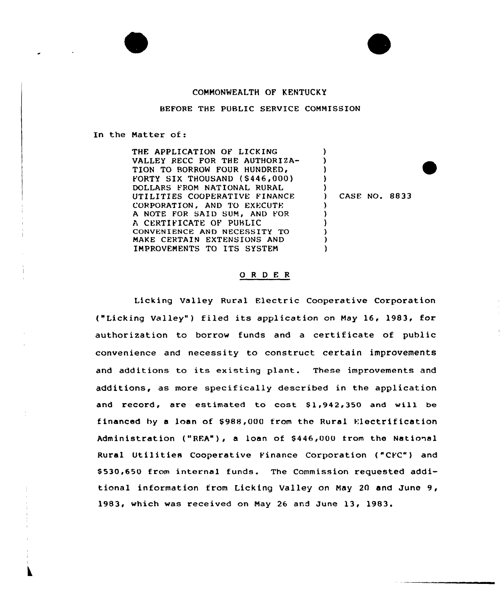



## BEFORE THE PUBLIC SERVICE COMMISSION

In the Matter of:

THE APPLICATION OF LICKING VALLEY RECC FOR THE AUTHORIZA-TION TO BORROW FOUR HUNDRED, FORTY SIX THOUSAND (\$446,000) DOLLARS FROM NATIONAL RURAL UTILITIES COOPERATIVE FINANCE CORPORATION, AND TO EXECUTE A NOTE FOR SAID SUM, AND FOR A CERTIFICATE OF PUBLIC CONVENIENCE AND NECESSITY TO MAKE CERTAIN EXTENSIONS AND IMPROVEMENTS TO ITS SYSTEM ) ) ) )  $\left\{ \right\}$ ) CASE NO. 8833 ) ) ) ) ) )

## 0 <sup>R</sup> <sup>D</sup> E <sup>R</sup>

Licking Valley Rural Electric Cooperative Corporation ("Licking Valley" ) filed its application on May 16, 1983, for authorization to borrow funds and <sup>a</sup> certificate of public convenience and necessity to construct certain improvements and additions to its existing plant. These improvements and additions, as more specifically described in the application and record, are estimated to cost \$1,942,350 and will be financed by a loan of \$988,000 from the Rural Electrification Administration ("REA"), a loan of \$446,000 trom the National Rural Utilities Cooperative Finance Corporation ("CFC") and \$ 530,650 from internal funds. The Commission requested additional information from Licking Valley on May 20 and June 9, 1983, which was received on May 26 and June 13, 1983.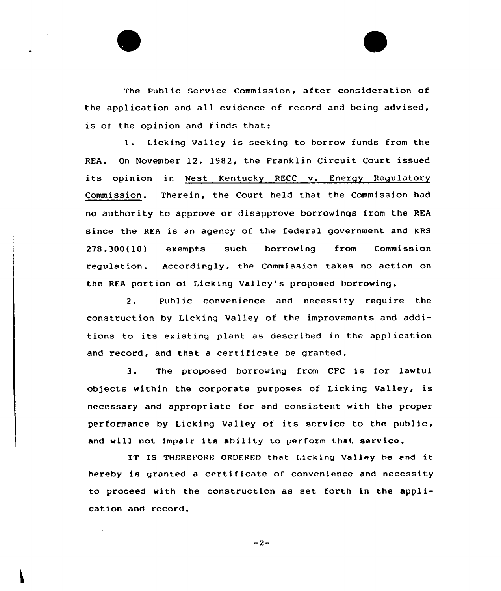The Public Service Commission, after consideration of the application and all evidence of record and being advised, is of the opinion and finds that:

1. Licking Valley is seeking to borrow funds from the REA. On November 12, 19S2, the Franklin Circuit Court issued its opinion in West Kentucky RECC v. Energy Regulatory Commission. Therein, the Court held that the Commission had no authority to appxove or disapprove borrowings from the REA since the REA is an agency of the federal government and KRS 278.300(10) exempts such borrowing from Commission regulation. Accordingly, the Commission takes no action on the REA portion of Licking Valley's proposed borrowing.

2. Public convenience and necessity require the construction by Licking Valley of the improvements and additions to its existing plant as described in the application and xecord, and that <sup>a</sup> certificate be granted.

3. The proposed borrowing from CFC is for lawful objects within the corporate purposes of Licking Valley, is necessary and appropriate for and consistent with the proper performance by Licking Valley of its service to the public, and will not impair its ahility to perform that service.

IT IS THEREFORE ORDERED that Licking Valley be and it hereby is granted a certificate of convenience and necessity to proceed with the construction as set forth in the application and record.

 $-2-$